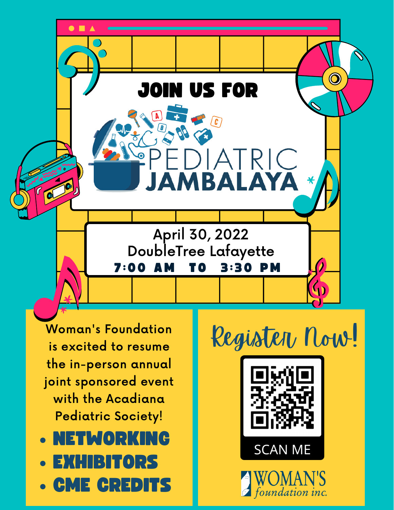

Woman's Foundation is excited to resume the in-person annual joint sponsored event with the Acadiana Pediatric Society!

- NETWORKING
- EXHIBITORS
- CME CREDITS

Register Now!